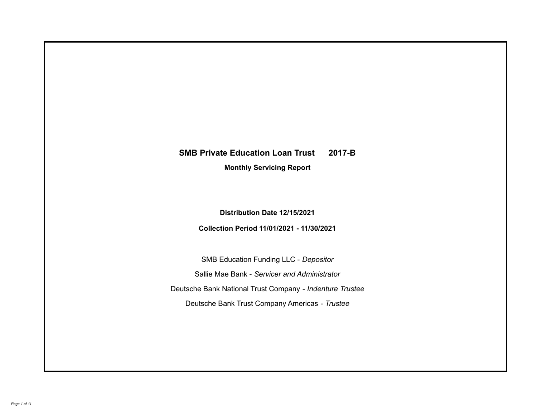# **SMB Private Education Loan Trust 2017-B**

**Monthly Servicing Report**

**Distribution Date 12/15/2021**

**Collection Period 11/01/2021 - 11/30/2021**

SMB Education Funding LLC - *Depositor* Sallie Mae Bank - *Servicer and Administrator* Deutsche Bank National Trust Company - *Indenture Trustee* Deutsche Bank Trust Company Americas - *Trustee*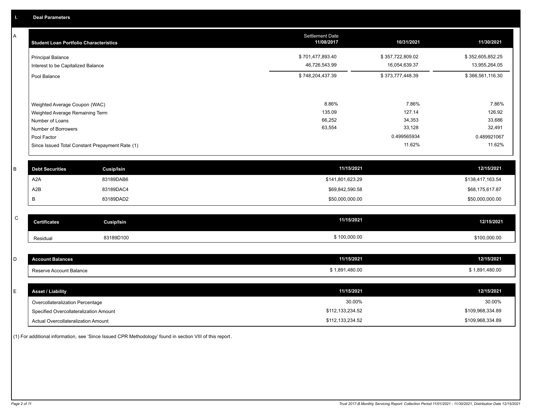A

| A | <b>Student Loan Portfolio Characteristics</b>                  |                   | <b>Settlement Date</b><br>11/08/2017 | 10/31/2021       | 11/30/2021       |  |  |
|---|----------------------------------------------------------------|-------------------|--------------------------------------|------------------|------------------|--|--|
|   | <b>Principal Balance</b>                                       |                   | \$701,477,893.40                     | \$357,722,809.02 | \$352,605,852.25 |  |  |
|   | Interest to be Capitalized Balance                             |                   | 46,726,543.99                        | 16,054,639.37    | 13,955,264.05    |  |  |
|   | Pool Balance                                                   |                   | \$748,204,437.39                     | \$373,777,448.39 | \$366,561,116.30 |  |  |
|   |                                                                |                   |                                      |                  |                  |  |  |
|   | Weighted Average Coupon (WAC)                                  |                   | 8.86%                                | 7.86%            | 7.86%            |  |  |
|   | Weighted Average Remaining Term                                |                   | 135.09                               | 127.14           | 126.92           |  |  |
|   | Number of Loans                                                |                   | 66,252<br>63,554                     | 34,353<br>33,128 | 33,686<br>32,491 |  |  |
|   | Number of Borrowers                                            |                   |                                      | 0.499565934      | 0.489921067      |  |  |
|   | Pool Factor<br>Since Issued Total Constant Prepayment Rate (1) |                   |                                      | 11.62%           | 11.62%           |  |  |
| B | <b>Debt Securities</b>                                         | <b>Cusip/Isin</b> | 11/15/2021                           |                  | 12/15/2021       |  |  |
|   | A <sub>2</sub> A                                               | 83189DAB6         | \$141,801,623.29                     |                  | \$138,417,163.54 |  |  |
|   | A2B                                                            | 83189DAC4         | \$69,842,590.58                      |                  | \$68,175,617.87  |  |  |
|   | В                                                              | 83189DAD2         | \$50,000,000.00                      |                  | \$50,000,000.00  |  |  |
| C | <b>Certificates</b>                                            | <b>Cusip/Isin</b> | 11/15/2021                           |                  | 12/15/2021       |  |  |
|   |                                                                |                   |                                      |                  |                  |  |  |
|   | Residual                                                       | 83189D100         | \$100,000.00                         |                  | \$100,000.00     |  |  |
|   |                                                                |                   |                                      |                  |                  |  |  |
| D | <b>Account Balances</b>                                        |                   | 11/15/2021                           |                  | 12/15/2021       |  |  |
|   | Reserve Account Balance                                        |                   | \$1,891,480.00                       |                  | \$1,891,480.00   |  |  |
|   |                                                                |                   |                                      |                  |                  |  |  |
| E | <b>Asset / Liability</b>                                       |                   | 11/15/2021                           |                  | 12/15/2021       |  |  |
|   | Overcollateralization Percentage                               |                   |                                      | 30.00%           |                  |  |  |
|   | Specified Overcollateralization Amount                         |                   |                                      | \$112,133,234.52 |                  |  |  |

Actual Overcollateralization Amount \$112,133,234.52

(1) For additional information, see 'Since Issued CPR Methodology' found in section VIII of this report .

\$109,968,334.89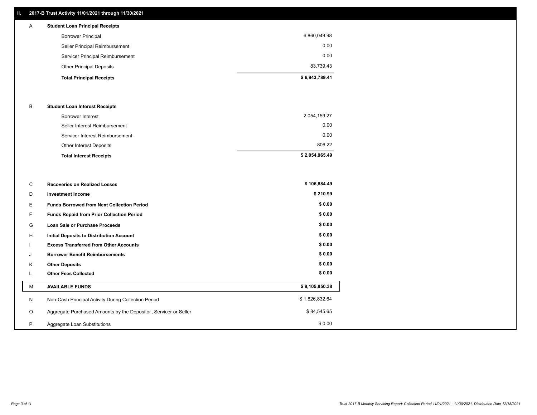## **II. 2017-B Trust Activity 11/01/2021 through 11/30/2021**

## Other Principal Deposits 83,739.43 Servicer Principal Reimbursement 0.00 Seller Principal Reimbursement 0.00 Borrower Principal 6,860,049.98 A **Student Loan Principal Receipts**

| \$6,943,789.41<br><b>Total Principal Receipts</b> |  |
|---------------------------------------------------|--|
|---------------------------------------------------|--|

## B **Student Loan Interest Receipts**

| <b>Total Interest Receipts</b>  | \$2,054,965.49 |
|---------------------------------|----------------|
| Other Interest Deposits         | 806.22         |
| Servicer Interest Reimbursement | 0.00           |
| Seller Interest Reimbursement   | 0.00           |
| Borrower Interest               | 2,054,159.27   |

| С       | <b>Recoveries on Realized Losses</b>                             | \$106,884.49   |
|---------|------------------------------------------------------------------|----------------|
| D       | <b>Investment Income</b>                                         | \$210.99       |
| Е       | <b>Funds Borrowed from Next Collection Period</b>                | \$0.00         |
| F.      | Funds Repaid from Prior Collection Period                        | \$0.00         |
| G       | Loan Sale or Purchase Proceeds                                   | \$0.00         |
| H       | Initial Deposits to Distribution Account                         | \$0.00         |
|         | <b>Excess Transferred from Other Accounts</b>                    | \$0.00         |
| J       | <b>Borrower Benefit Reimbursements</b>                           | \$0.00         |
| К       | <b>Other Deposits</b>                                            | \$0.00         |
| L.      | <b>Other Fees Collected</b>                                      | \$0.00         |
| M       | <b>AVAILABLE FUNDS</b>                                           | \$9,105,850.38 |
| N       | Non-Cash Principal Activity During Collection Period             | \$1,826,832.64 |
| $\circ$ | Aggregate Purchased Amounts by the Depositor, Servicer or Seller | \$84,545.65    |
| P       | Aggregate Loan Substitutions                                     | \$0.00         |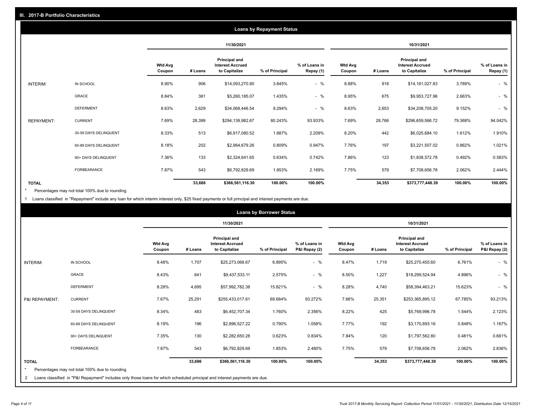|                   | <b>Loans by Repayment Status</b> |                          |            |                                                           |                |                            |                   |         |                                                           |                |                            |
|-------------------|----------------------------------|--------------------------|------------|-----------------------------------------------------------|----------------|----------------------------|-------------------|---------|-----------------------------------------------------------|----------------|----------------------------|
|                   |                                  |                          | 11/30/2021 |                                                           |                | 10/31/2021                 |                   |         |                                                           |                |                            |
|                   |                                  | <b>Wtd Avg</b><br>Coupon | # Loans    | Principal and<br><b>Interest Accrued</b><br>to Capitalize | % of Principal | % of Loans in<br>Repay (1) | Wtd Avg<br>Coupon | # Loans | Principal and<br><b>Interest Accrued</b><br>to Capitalize | % of Principal | % of Loans in<br>Repay (1) |
| INTERIM:          | IN SCHOOL                        | 8.90%                    | 906        | \$14,093,270.90                                           | 3.845%         | $-$ %                      | 8.88%             | 918     | \$14,161,027.83                                           | 3.789%         | $-$ %                      |
|                   | <b>GRACE</b>                     | 8.84%                    | 361        | \$5,260,185.07                                            | 1.435%         | $-$ %                      | 8.95%             | 675     | \$9,953,727.96                                            | 2.663%         | $-$ %                      |
|                   | <b>DEFERMENT</b>                 | 8.63%                    | 2,629      | \$34,068,446.54                                           | 9.294%         | $-$ %                      | 8.63%             | 2,653   | \$34,208,705.20                                           | 9.152%         | $-$ %                      |
| <b>REPAYMENT:</b> | <b>CURRENT</b>                   | 7.69%                    | 28,399     | \$294,139,982.67                                          | 80.243%        | 93.933%                    | 7.69%             | 28,766  | \$296,659,566.72                                          | 79.368%        | 94.042%                    |
|                   | 30-59 DAYS DELINQUENT            | 8.33%                    | 513        | \$6,917,080.52                                            | 1.887%         | 2.209%                     | 8.20%             | 442     | \$6,025,684.10                                            | 1.612%         | 1.910%                     |
|                   | 60-89 DAYS DELINQUENT            | 8.18%                    | 202        | \$2,964,679.26                                            | 0.809%         | 0.947%                     | 7.76%             | 197     | \$3,221,507.02                                            | 0.862%         | 1.021%                     |
|                   | 90+ DAYS DELINQUENT              | 7.36%                    | 133        | \$2,324,641.65                                            | 0.634%         | 0.742%                     | 7.86%             | 123     | \$1,838,572.78                                            | 0.492%         | 0.583%                     |
|                   | <b>FORBEARANCE</b>               | 7.87%                    | 543        | \$6,792,829.69                                            | 1.853%         | 2.169%                     | 7.75%             | 579     | \$7,708,656.78                                            | 2.062%         | 2.444%                     |
| <b>TOTAL</b>      |                                  |                          | 33,686     | \$366,561,116.30                                          | 100.00%        | 100.00%                    |                   | 34,353  | \$373,777,448.39                                          | 100.00%        | 100.00%                    |

Percentages may not total 100% due to rounding \*

1 Loans classified in "Repayment" include any loan for which interim interest only, \$25 fixed payments or full principal and interest payments are due.

|                                                                                                                                                             | <b>Loans by Borrower Status</b>                                                                                            |                          |         |                                                           |                |                                |                          |         |                                                                  |                |                                |
|-------------------------------------------------------------------------------------------------------------------------------------------------------------|----------------------------------------------------------------------------------------------------------------------------|--------------------------|---------|-----------------------------------------------------------|----------------|--------------------------------|--------------------------|---------|------------------------------------------------------------------|----------------|--------------------------------|
|                                                                                                                                                             |                                                                                                                            |                          |         | 11/30/2021                                                |                |                                |                          |         | 10/31/2021                                                       |                |                                |
|                                                                                                                                                             |                                                                                                                            | <b>Wtd Avg</b><br>Coupon | # Loans | Principal and<br><b>Interest Accrued</b><br>to Capitalize | % of Principal | % of Loans in<br>P&I Repay (2) | <b>Wtd Avg</b><br>Coupon | # Loans | <b>Principal and</b><br><b>Interest Accrued</b><br>to Capitalize | % of Principal | % of Loans in<br>P&I Repay (2) |
| INTERIM:                                                                                                                                                    | IN SCHOOL                                                                                                                  | 8.48%                    | 1,707   | \$25,273,068.67                                           | 6.895%         | $-$ %                          | 8.47%                    | 1,719   | \$25,270,455.60                                                  | 6.761%         | $-$ %                          |
|                                                                                                                                                             | GRACE                                                                                                                      | 8.43%                    | 641     | \$9,437,533.11                                            | 2.575%         | $-$ %                          | 8.50%                    | 1,227   | \$18,299,524.94                                                  | 4.896%         | $-$ %                          |
|                                                                                                                                                             | <b>DEFERMENT</b>                                                                                                           | 8.28%                    | 4,695   | \$57,992,782.38                                           | 15.821%        | $-$ %                          | 8.28%                    | 4,740   | \$58,394,463.21                                                  | 15.623%        | $-$ %                          |
| P&I REPAYMENT:                                                                                                                                              | <b>CURRENT</b>                                                                                                             | 7.67%                    | 25,291  | \$255,433,017.61                                          | 69.684%        | 93.272%                        | 7.66%                    | 25,351  | \$253,365,895.12                                                 | 67.785%        | 93.213%                        |
|                                                                                                                                                             | 30-59 DAYS DELINQUENT                                                                                                      | 8.34%                    | 483     | \$6,452,707.34                                            | 1.760%         | 2.356%                         | 8.22%                    | 425     | \$5,769,996.78                                                   | 1.544%         | 2.123%                         |
|                                                                                                                                                             | 60-89 DAYS DELINQUENT                                                                                                      | 8.19%                    | 196     | \$2,896,527.22                                            | 0.790%         | 1.058%                         | 7.77%                    | 192     | \$3,170,893.16                                                   | 0.848%         | 1.167%                         |
|                                                                                                                                                             | 90+ DAYS DELINQUENT                                                                                                        | 7.35%                    | 130     | \$2,282,650.28                                            | 0.623%         | 0.834%                         | 7.84%                    | 120     | \$1,797,562.80                                                   | 0.481%         | 0.661%                         |
|                                                                                                                                                             | <b>FORBEARANCE</b>                                                                                                         | 7.87%                    | 543     | \$6,792,829.69                                            | 1.853%         | 2.480%                         | 7.75%                    | 579     | \$7,708,656.78                                                   | 2.062%         | 2.836%                         |
| <b>TOTAL</b><br>33,686<br>100.00%<br>100.00%<br>34,353<br>100.00%<br>\$366,561,116.30<br>\$373,777,448.39<br>Percentages may not total 100% due to rounding |                                                                                                                            |                          |         |                                                           |                |                                | 100.00%                  |         |                                                                  |                |                                |
| 2                                                                                                                                                           | Loans classified in "P&I Repayment" includes only those loans for which scheduled principal and interest payments are due. |                          |         |                                                           |                |                                |                          |         |                                                                  |                |                                |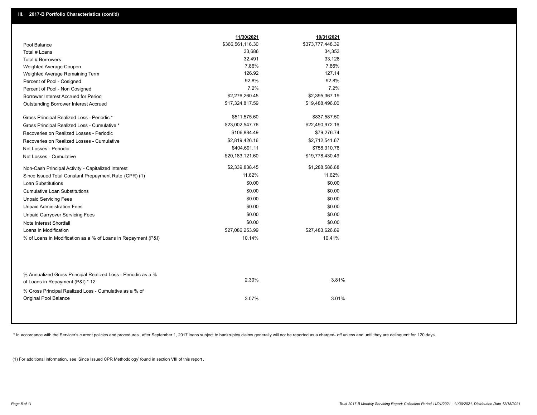|                                                                                                  | 11/30/2021       | 10/31/2021       |
|--------------------------------------------------------------------------------------------------|------------------|------------------|
| Pool Balance                                                                                     | \$366,561,116.30 | \$373,777,448.39 |
| Total # Loans                                                                                    | 33,686           | 34,353           |
| Total # Borrowers                                                                                | 32,491           | 33,128           |
| Weighted Average Coupon                                                                          | 7.86%            | 7.86%            |
| Weighted Average Remaining Term                                                                  | 126.92           | 127.14           |
| Percent of Pool - Cosigned                                                                       | 92.8%            | 92.8%            |
| Percent of Pool - Non Cosigned                                                                   | 7.2%             | 7.2%             |
| Borrower Interest Accrued for Period                                                             | \$2,276,260.45   | \$2,395,367.19   |
| Outstanding Borrower Interest Accrued                                                            | \$17,324,817.59  | \$19,488,496.00  |
| Gross Principal Realized Loss - Periodic *                                                       | \$511,575.60     | \$837,587.50     |
| Gross Principal Realized Loss - Cumulative *                                                     | \$23,002,547.76  | \$22,490,972.16  |
| Recoveries on Realized Losses - Periodic                                                         | \$106,884.49     | \$79,276.74      |
| Recoveries on Realized Losses - Cumulative                                                       | \$2,819,426.16   | \$2,712,541.67   |
| Net Losses - Periodic                                                                            | \$404,691.11     | \$758,310.76     |
| Net Losses - Cumulative                                                                          | \$20,183,121.60  | \$19,778,430.49  |
| Non-Cash Principal Activity - Capitalized Interest                                               | \$2,339,838.45   | \$1,288,586.68   |
| Since Issued Total Constant Prepayment Rate (CPR) (1)                                            | 11.62%           | 11.62%           |
| Loan Substitutions                                                                               | \$0.00           | \$0.00           |
| <b>Cumulative Loan Substitutions</b>                                                             | \$0.00           | \$0.00           |
| <b>Unpaid Servicing Fees</b>                                                                     | \$0.00           | \$0.00           |
| <b>Unpaid Administration Fees</b>                                                                | \$0.00           | \$0.00           |
| <b>Unpaid Carryover Servicing Fees</b>                                                           | \$0.00           | \$0.00           |
| Note Interest Shortfall                                                                          | \$0.00           | \$0.00           |
| Loans in Modification                                                                            | \$27,086,253.99  | \$27,483,626.69  |
| % of Loans in Modification as a % of Loans in Repayment (P&I)                                    | 10.14%           | 10.41%           |
|                                                                                                  |                  |                  |
| % Annualized Gross Principal Realized Loss - Periodic as a %<br>of Loans in Repayment (P&I) * 12 | 2.30%            | 3.81%            |
| % Gross Principal Realized Loss - Cumulative as a % of                                           |                  |                  |
| Original Pool Balance                                                                            | 3.07%            | 3.01%            |

\* In accordance with the Servicer's current policies and procedures, after September 1, 2017 loans subject to bankruptcy claims generally will not be reported as a charged- off unless and until they are delinquent for 120

(1) For additional information, see 'Since Issued CPR Methodology' found in section VIII of this report .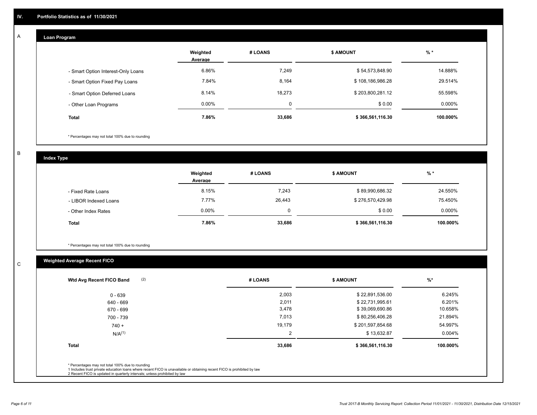#### **Loan Program**  A

|                                    | Weighted<br>Average | # LOANS     | <b>\$ AMOUNT</b> | $%$ *    |
|------------------------------------|---------------------|-------------|------------------|----------|
| - Smart Option Interest-Only Loans | 6.86%               | 7,249       | \$54,573,848.90  | 14.888%  |
| - Smart Option Fixed Pay Loans     | 7.84%               | 8,164       | \$108,186,986.28 | 29.514%  |
| - Smart Option Deferred Loans      | 8.14%               | 18,273      | \$203,800,281.12 | 55.598%  |
| - Other Loan Programs              | $0.00\%$            | $\mathbf 0$ | \$0.00           | 0.000%   |
| <b>Total</b>                       | 7.86%               | 33,686      | \$366,561,116.30 | 100.000% |

\* Percentages may not total 100% due to rounding

B

C

**Index Type**

|                       | Weighted<br>Average | # LOANS | <b>\$ AMOUNT</b> | $%$ *    |
|-----------------------|---------------------|---------|------------------|----------|
| - Fixed Rate Loans    | 8.15%               | 7,243   | \$89,990,686.32  | 24.550%  |
| - LIBOR Indexed Loans | 7.77%               | 26,443  | \$276,570,429.98 | 75.450%  |
| - Other Index Rates   | 0.00%               |         | \$0.00           | 0.000%   |
| <b>Total</b>          | 7.86%               | 33,686  | \$366,561,116.30 | 100.000% |

\* Percentages may not total 100% due to rounding

## **Weighted Average Recent FICO**

| (2)<br>Wtd Avg Recent FICO Band                  | # LOANS    | <b>\$ AMOUNT</b> | %        |
|--------------------------------------------------|------------|------------------|----------|
| $0 - 639$                                        | 2,003      | \$22,891,536.00  | 6.245%   |
| 640 - 669                                        | 2,011      | \$22,731,995.61  | 6.201%   |
| 670 - 699                                        | 3,478      | \$39,069,690.86  | 10.658%  |
| 700 - 739                                        | 7,013      | \$80,256,406.28  | 21.894%  |
| $740 +$                                          | 19,179     | \$201,597,854.68 | 54.997%  |
| $N/A^{(1)}$                                      | $\sqrt{2}$ | \$13,632.87      | 0.004%   |
| <b>Total</b>                                     | 33,686     | \$366,561,116.30 | 100.000% |
| * Percentages may not total 100% due to rounding |            |                  |          |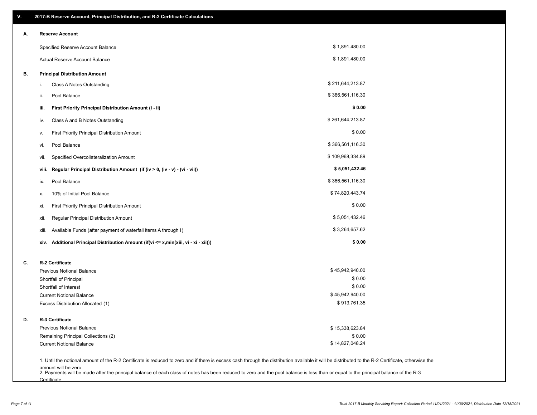| Α. |       | <b>Reserve Account</b>                                                                                                                                                                                                    |                  |  |
|----|-------|---------------------------------------------------------------------------------------------------------------------------------------------------------------------------------------------------------------------------|------------------|--|
|    |       | Specified Reserve Account Balance                                                                                                                                                                                         | \$1,891,480.00   |  |
|    |       | Actual Reserve Account Balance                                                                                                                                                                                            | \$1,891,480.00   |  |
| В. |       | <b>Principal Distribution Amount</b>                                                                                                                                                                                      |                  |  |
|    | i.    | Class A Notes Outstanding                                                                                                                                                                                                 | \$211,644,213.87 |  |
|    | ii.   | Pool Balance                                                                                                                                                                                                              | \$366,561,116.30 |  |
|    | iii.  | First Priority Principal Distribution Amount (i - ii)                                                                                                                                                                     | \$0.00           |  |
|    | iv.   | Class A and B Notes Outstanding                                                                                                                                                                                           | \$261,644,213.87 |  |
|    | ۷.    | First Priority Principal Distribution Amount                                                                                                                                                                              | \$0.00           |  |
|    | vi.   | Pool Balance                                                                                                                                                                                                              | \$366,561,116.30 |  |
|    | vii.  | Specified Overcollateralization Amount                                                                                                                                                                                    | \$109,968,334.89 |  |
|    | viii. | Regular Principal Distribution Amount (if (iv > 0, (iv - v) - (vi - vii))                                                                                                                                                 | \$5,051,432.46   |  |
|    | ix.   | Pool Balance                                                                                                                                                                                                              | \$366,561,116.30 |  |
|    | х.    | 10% of Initial Pool Balance                                                                                                                                                                                               | \$74,820,443.74  |  |
|    | xi.   | First Priority Principal Distribution Amount                                                                                                                                                                              | \$0.00           |  |
|    | xii.  | Regular Principal Distribution Amount                                                                                                                                                                                     | \$5,051,432.46   |  |
|    | xiii. | Available Funds (after payment of waterfall items A through I)                                                                                                                                                            | \$3,264,657.62   |  |
|    |       | xiv. Additional Principal Distribution Amount (if(vi <= x,min(xiii, vi - xi - xii)))                                                                                                                                      | \$0.00           |  |
| C. |       | R-2 Certificate                                                                                                                                                                                                           |                  |  |
|    |       | <b>Previous Notional Balance</b>                                                                                                                                                                                          | \$45,942,940.00  |  |
|    |       | Shortfall of Principal                                                                                                                                                                                                    | \$0.00           |  |
|    |       | Shortfall of Interest                                                                                                                                                                                                     | \$0.00           |  |
|    |       | <b>Current Notional Balance</b>                                                                                                                                                                                           | \$45,942,940.00  |  |
|    |       | Excess Distribution Allocated (1)                                                                                                                                                                                         | \$913,761.35     |  |
| D. |       | R-3 Certificate                                                                                                                                                                                                           |                  |  |
|    |       | <b>Previous Notional Balance</b>                                                                                                                                                                                          | \$15,338,623.84  |  |
|    |       | Remaining Principal Collections (2)                                                                                                                                                                                       | \$0.00           |  |
|    |       | <b>Current Notional Balance</b>                                                                                                                                                                                           | \$14,827,048.24  |  |
|    |       | 1. Until the notional amount of the R-2 Certificate is reduced to zero and if there is excess cash through the distribution available it will be distributed to the R-2 Certificate, otherwise the<br>amount will be zero |                  |  |

amount will be zero<br>2. Payments will be made after the principal balance of each class of notes has been reduced to zero and the pool balance is less than or equal to the principal balance of the R-3 **Certificate**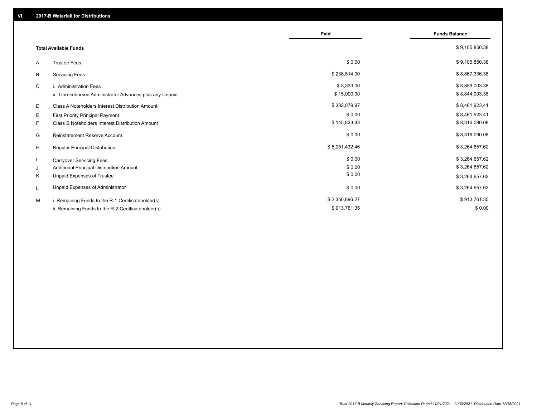|                                                         | Paid           | <b>Funds Balance</b> |
|---------------------------------------------------------|----------------|----------------------|
| <b>Total Available Funds</b>                            |                | \$9,105,850.38       |
| <b>Trustee Fees</b><br>A                                | \$0.00         | \$9,105,850.38       |
| В<br><b>Servicing Fees</b>                              | \$238,514.00   | \$8,867,336.38       |
| C<br>i. Administration Fees                             | \$8,333.00     | \$8,859,003.38       |
| ii. Unreimbursed Administrator Advances plus any Unpaid | \$15,000.00    | \$8,844,003.38       |
| D<br>Class A Noteholders Interest Distribution Amount   | \$382,079.97   | \$8,461,923.41       |
| Е<br><b>First Priority Principal Payment</b>            | \$0.00         | \$8,461,923.41       |
| Class B Noteholders Interest Distribution Amount<br>F.  | \$145,833.33   | \$8,316,090.08       |
| G<br><b>Reinstatement Reserve Account</b>               | \$0.00         | \$8,316,090.08       |
| H<br><b>Regular Principal Distribution</b>              | \$5,051,432.46 | \$3,264,657.62       |
| <b>Carryover Servicing Fees</b>                         | \$0.00         | \$3,264,657.62       |
| Additional Principal Distribution Amount<br>J           | \$0.00         | \$3,264,657.62       |
| Unpaid Expenses of Trustee<br>Κ                         | \$0.00         | \$3,264,657.62       |
| Unpaid Expenses of Administrator<br>L                   | \$0.00         | \$3,264,657.62       |
| M<br>i. Remaining Funds to the R-1 Certificateholder(s) | \$2,350,896.27 | \$913,761.35         |
| ii. Remaining Funds to the R-2 Certificateholder(s)     | \$913,761.35   | \$0.00               |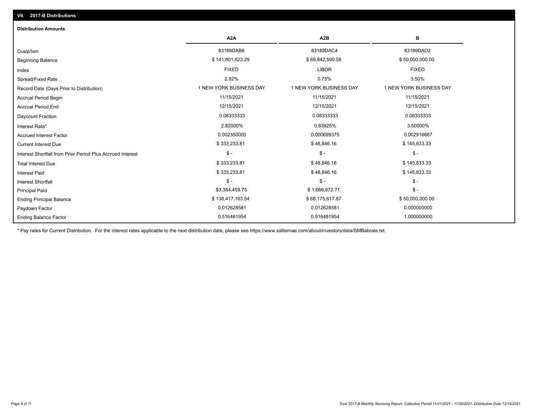| <b>Distribution Amounts</b>                                |                         |                         |                         |
|------------------------------------------------------------|-------------------------|-------------------------|-------------------------|
|                                                            | A <sub>2</sub> A        | A <sub>2</sub> B        | в                       |
| Cusip/Isin                                                 | 83189DAB6               | 83189DAC4               | 83189DAD2               |
| <b>Beginning Balance</b>                                   | \$141,801,623.29        | \$69,842,590.58         | \$50,000,000.00         |
| Index                                                      | <b>FIXED</b>            | <b>LIBOR</b>            | <b>FIXED</b>            |
| Spread/Fixed Rate                                          | 2.82%                   | 0.75%                   | 3.50%                   |
| Record Date (Days Prior to Distribution)                   | 1 NEW YORK BUSINESS DAY | 1 NEW YORK BUSINESS DAY | 1 NEW YORK BUSINESS DAY |
| <b>Accrual Period Begin</b>                                | 11/15/2021              | 11/15/2021              | 11/15/2021              |
| <b>Accrual Period End</b>                                  | 12/15/2021              | 12/15/2021              | 12/15/2021              |
| Daycount Fraction                                          | 0.08333333              | 0.08333333              | 0.08333333              |
| Interest Rate*                                             | 2.82000%                | 0.83925%                | 3.50000%                |
| <b>Accrued Interest Factor</b>                             | 0.002350000             | 0.000699375             | 0.002916667             |
| <b>Current Interest Due</b>                                | \$333,233.81            | \$48,846.16             | \$145,833.33            |
| Interest Shortfall from Prior Period Plus Accrued Interest | $\mathcal{S}$ -         | $\frac{1}{2}$           | $\mathbb{S}$ -          |
| <b>Total Interest Due</b>                                  | \$333,233.81            | \$48,846.16             | \$145,833.33            |
| <b>Interest Paid</b>                                       | \$333,233.81            | \$48,846.16             | \$145,833.33            |
| <b>Interest Shortfall</b>                                  | $\mathsf{\$}$ -         | $$ -$                   | $\mathsf{\$}$ -         |
| <b>Principal Paid</b>                                      | \$3,384,459.75          | \$1,666,972.71          | $\frac{2}{3}$ -         |
| <b>Ending Principal Balance</b>                            | \$138,417,163.54        | \$68,175,617.87         | \$50,000,000.00         |
| Paydown Factor                                             | 0.012628581             | 0.012628581             | 0.000000000             |
| <b>Ending Balance Factor</b>                               | 0.516481954             | 0.516481954             | 1.000000000             |

\* Pay rates for Current Distribution. For the interest rates applicable to the next distribution date, please see https://www.salliemae.com/about/investors/data/SMBabrate.txt.

**VII. 2017-B Distributions**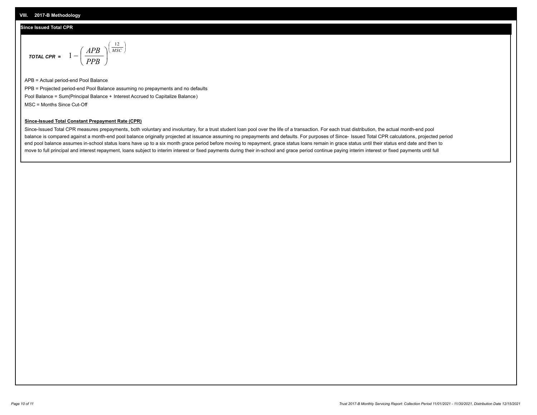## **Since Issued Total CPR**

$$
\text{total cPR} = 1 - \left(\frac{APB}{PPB}\right)^{\left(\frac{12}{MSC}\right)}
$$

APB = Actual period-end Pool Balance PPB = Projected period-end Pool Balance assuming no prepayments and no defaults Pool Balance = Sum(Principal Balance + Interest Accrued to Capitalize Balance) MSC = Months Since Cut-Off

I J Ι

## **Since-Issued Total Constant Prepayment Rate (CPR)**

Since-Issued Total CPR measures prepayments, both voluntary and involuntary, for a trust student loan pool over the life of a transaction. For each trust distribution, the actual month-end pool balance is compared against a month-end pool balance originally projected at issuance assuming no prepayments and defaults. For purposes of Since- Issued Total CPR calculations, projected period end pool balance assumes in-school status loans have up to a six month grace period before moving to repayment, grace status loans remain in grace status until their status end date and then to move to full principal and interest repayment, loans subject to interim interest or fixed payments during their in-school and grace period continue paying interim interest or fixed payments until full